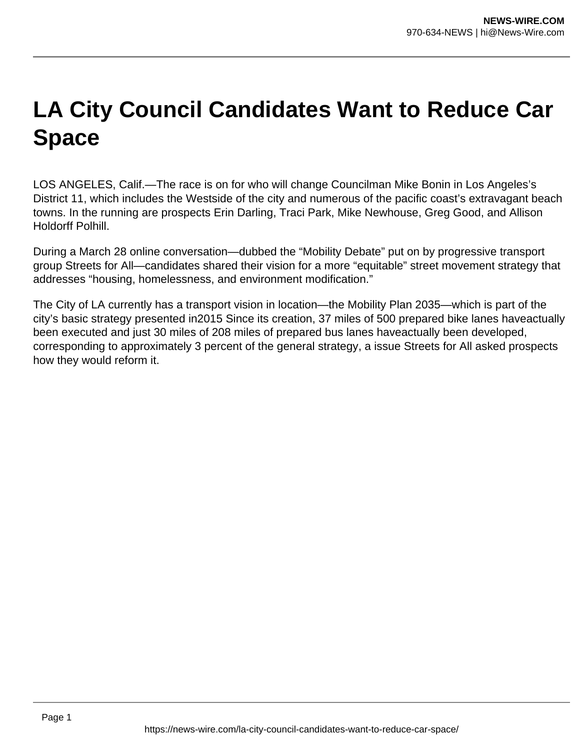## **LA City Council Candidates Want to Reduce Car Space**

LOS ANGELES, Calif.—The race is on for who will change Councilman Mike Bonin in Los Angeles's District 11, which includes the Westside of the city and numerous of the pacific coast's extravagant beach towns. In the running are prospects Erin Darling, Traci Park, Mike Newhouse, Greg Good, and Allison Holdorff Polhill.

During a March 28 online conversation—dubbed the "Mobility Debate" put on by progressive transport group Streets for All—candidates shared their vision for a more "equitable" street movement strategy that addresses "housing, homelessness, and environment modification."

The City of LA currently has a transport vision in location—the Mobility Plan 2035—which is part of the city's basic strategy presented in2015 Since its creation, 37 miles of 500 prepared bike lanes haveactually been executed and just 30 miles of 208 miles of prepared bus lanes haveactually been developed, corresponding to approximately 3 percent of the general strategy, a issue Streets for All asked prospects how they would reform it.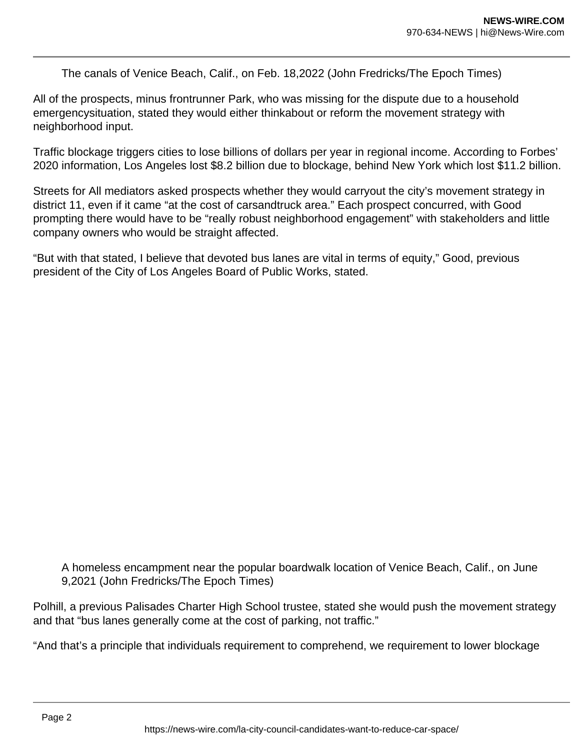The canals of Venice Beach, Calif., on Feb. 18,2022 (John Fredricks/The Epoch Times)

All of the prospects, minus frontrunner Park, who was missing for the dispute due to a household emergencysituation, stated they would either thinkabout or reform the movement strategy with neighborhood input.

Traffic blockage triggers cities to lose billions of dollars per year in regional income. According to Forbes' 2020 information, Los Angeles lost \$8.2 billion due to blockage, behind New York which lost \$11.2 billion.

Streets for All mediators asked prospects whether they would carryout the city's movement strategy in district 11, even if it came "at the cost of carsandtruck area." Each prospect concurred, with Good prompting there would have to be "really robust neighborhood engagement" with stakeholders and little company owners who would be straight affected.

"But with that stated, I believe that devoted bus lanes are vital in terms of equity," Good, previous president of the City of Los Angeles Board of Public Works, stated.

A homeless encampment near the popular boardwalk location of Venice Beach, Calif., on June 9,2021 (John Fredricks/The Epoch Times)

Polhill, a previous Palisades Charter High School trustee, stated she would push the movement strategy and that "bus lanes generally come at the cost of parking, not traffic."

"And that's a principle that individuals requirement to comprehend, we requirement to lower blockage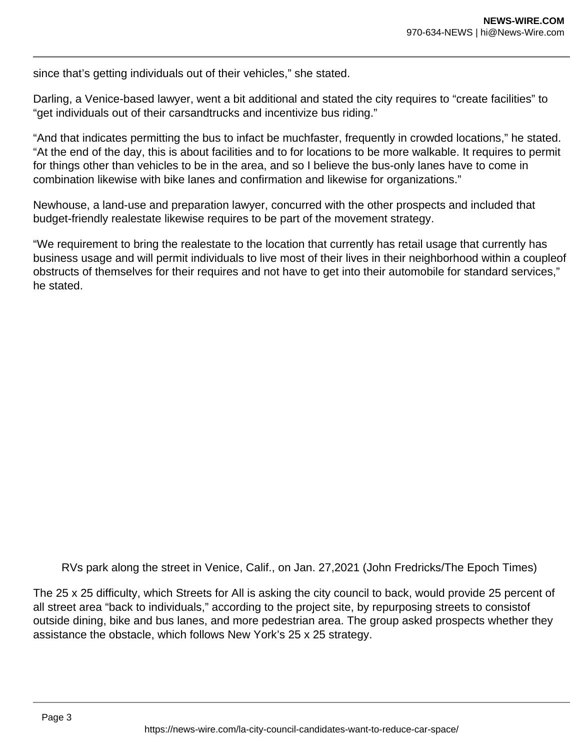since that's getting individuals out of their vehicles," she stated.

Darling, a Venice-based lawyer, went a bit additional and stated the city requires to "create facilities" to "get individuals out of their carsandtrucks and incentivize bus riding."

"And that indicates permitting the bus to infact be muchfaster, frequently in crowded locations," he stated. "At the end of the day, this is about facilities and to for locations to be more walkable. It requires to permit for things other than vehicles to be in the area, and so I believe the bus-only lanes have to come in combination likewise with bike lanes and confirmation and likewise for organizations."

Newhouse, a land-use and preparation lawyer, concurred with the other prospects and included that budget-friendly realestate likewise requires to be part of the movement strategy.

"We requirement to bring the realestate to the location that currently has retail usage that currently has business usage and will permit individuals to live most of their lives in their neighborhood within a coupleof obstructs of themselves for their requires and not have to get into their automobile for standard services," he stated.

RVs park along the street in Venice, Calif., on Jan. 27,2021 (John Fredricks/The Epoch Times)

The 25 x 25 difficulty, which Streets for All is asking the city council to back, would provide 25 percent of all street area "back to individuals," according to the project site, by repurposing streets to consistof outside dining, bike and bus lanes, and more pedestrian area. The group asked prospects whether they assistance the obstacle, which follows New York's 25 x 25 strategy.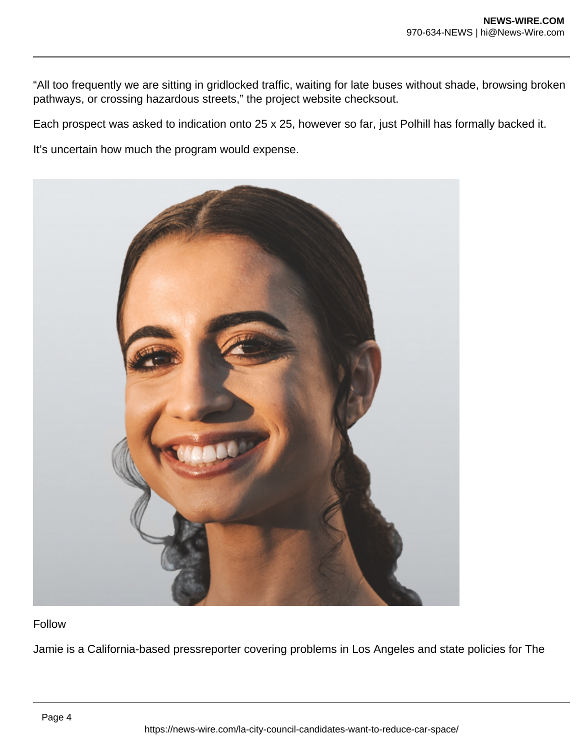"All too frequently we are sitting in gridlocked traffic, waiting for late buses without shade, browsing broken pathways, or crossing hazardous streets," the project website checksout.

Each prospect was asked to indication onto 25 x 25, however so far, just Polhill has formally backed it.

It's uncertain how much the program would expense.



## Follow

Jamie is a California-based pressreporter covering problems in Los Angeles and state policies for The